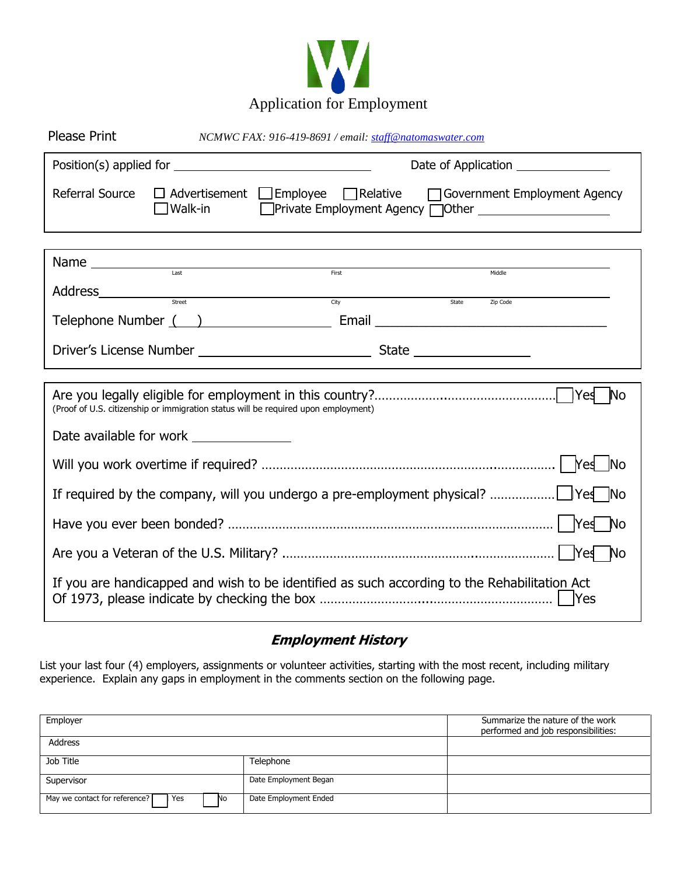

| <b>Please Print</b>                                                                             | NCMWC FAX: 916-419-8691 / email: staff@natomaswater.com |                                                                                                                                                                                                                                                                                                                                                                     |                                                                                          |  |
|-------------------------------------------------------------------------------------------------|---------------------------------------------------------|---------------------------------------------------------------------------------------------------------------------------------------------------------------------------------------------------------------------------------------------------------------------------------------------------------------------------------------------------------------------|------------------------------------------------------------------------------------------|--|
|                                                                                                 |                                                         | Date of Application <u>_______________________</u>                                                                                                                                                                                                                                                                                                                  |                                                                                          |  |
| Referral Source                                                                                 | $\square$ Walk-in                                       |                                                                                                                                                                                                                                                                                                                                                                     | $\Box$ Advertisement $\Box$ Employee $\Box$ Relative $\Box$ Government Employment Agency |  |
|                                                                                                 |                                                         |                                                                                                                                                                                                                                                                                                                                                                     |                                                                                          |  |
|                                                                                                 |                                                         | $\begin{picture}(20,10) \put(0,0){\vector(1,0){100}} \put(15,0){\vector(1,0){100}} \put(15,0){\vector(1,0){100}} \put(15,0){\vector(1,0){100}} \put(15,0){\vector(1,0){100}} \put(15,0){\vector(1,0){100}} \put(15,0){\vector(1,0){100}} \put(15,0){\vector(1,0){100}} \put(15,0){\vector(1,0){100}} \put(15,0){\vector(1,0){100}} \put(15,0){\vector(1,0){100}} \$ | Middle                                                                                   |  |
|                                                                                                 |                                                         | City                                                                                                                                                                                                                                                                                                                                                                | State<br>Zip Code                                                                        |  |
|                                                                                                 |                                                         |                                                                                                                                                                                                                                                                                                                                                                     |                                                                                          |  |
|                                                                                                 |                                                         |                                                                                                                                                                                                                                                                                                                                                                     |                                                                                          |  |
|                                                                                                 |                                                         |                                                                                                                                                                                                                                                                                                                                                                     |                                                                                          |  |
| <b>No</b><br>(Proof of U.S. citizenship or immigration status will be required upon employment) |                                                         |                                                                                                                                                                                                                                                                                                                                                                     |                                                                                          |  |
| Date available for work _______________                                                         |                                                         |                                                                                                                                                                                                                                                                                                                                                                     |                                                                                          |  |
| <b>INo</b>                                                                                      |                                                         |                                                                                                                                                                                                                                                                                                                                                                     |                                                                                          |  |
|                                                                                                 |                                                         |                                                                                                                                                                                                                                                                                                                                                                     |                                                                                          |  |
|                                                                                                 |                                                         |                                                                                                                                                                                                                                                                                                                                                                     |                                                                                          |  |
|                                                                                                 |                                                         |                                                                                                                                                                                                                                                                                                                                                                     |                                                                                          |  |
| If you are handicapped and wish to be identified as such according to the Rehabilitation Act    |                                                         |                                                                                                                                                                                                                                                                                                                                                                     |                                                                                          |  |

# **Employment History**

List your last four (4) employers, assignments or volunteer activities, starting with the most recent, including military experience. Explain any gaps in employment in the comments section on the following page.

| Employer                                     | Summarize the nature of the work<br>performed and job responsibilities: |  |
|----------------------------------------------|-------------------------------------------------------------------------|--|
| Address                                      |                                                                         |  |
| Job Title                                    | Telephone                                                               |  |
| Supervisor                                   | Date Employment Began                                                   |  |
| May we contact for reference?<br>l Yes<br>No | Date Employment Ended                                                   |  |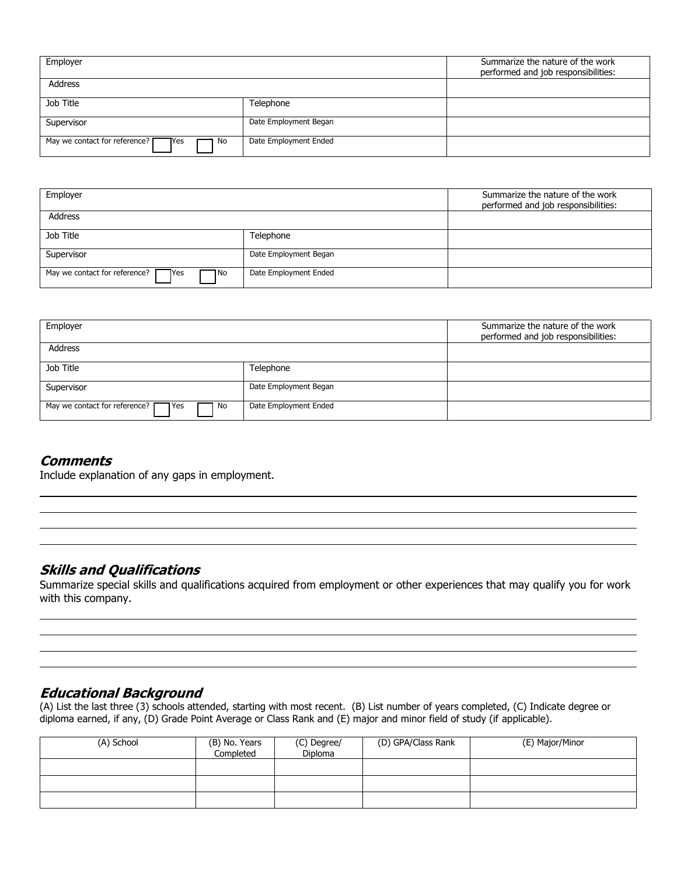| Employer                                                      | Summarize the nature of the work<br>performed and job responsibilities: |  |
|---------------------------------------------------------------|-------------------------------------------------------------------------|--|
| Address                                                       |                                                                         |  |
| Job Title                                                     | Telephone                                                               |  |
| Supervisor                                                    | Date Employment Began                                                   |  |
| May we contact for reference? $\Gamma$<br><b>T</b> Yes<br>No. | Date Employment Ended                                                   |  |

| Employer                                             | Summarize the nature of the work<br>performed and job responsibilities: |  |
|------------------------------------------------------|-------------------------------------------------------------------------|--|
| Address                                              |                                                                         |  |
| Job Title                                            | Telephone                                                               |  |
| Supervisor                                           | Date Employment Began                                                   |  |
| May we contact for reference?<br><b>TYes</b><br>1 No | Date Employment Ended                                                   |  |

| Employer                                               | Summarize the nature of the work<br>performed and job responsibilities: |  |
|--------------------------------------------------------|-------------------------------------------------------------------------|--|
| Address                                                |                                                                         |  |
| Job Title                                              | Telephone                                                               |  |
| Supervisor                                             | Date Employment Began                                                   |  |
| May we contact for reference? [<br><b>T</b> Yes<br>No. | Date Employment Ended                                                   |  |

#### **Comments**

 $\overline{a}$ 

 $\overline{a}$ 

 $\overline{a}$ 

 $\overline{a}$ 

Include explanation of any gaps in employment.

### **Skills and Qualifications**

Summarize special skills and qualifications acquired from employment or other experiences that may qualify you for work with this company.

### **Educational Background**

(A) List the last three (3) schools attended, starting with most recent. (B) List number of years completed, (C) Indicate degree or diploma earned, if any, (D) Grade Point Average or Class Rank and (E) major and minor field of study (if applicable).

| (A) School | (B) No. Years<br>Completed | (C) Degree/<br>Diploma | (D) GPA/Class Rank | (E) Major/Minor |
|------------|----------------------------|------------------------|--------------------|-----------------|
|            |                            |                        |                    |                 |
|            |                            |                        |                    |                 |
|            |                            |                        |                    |                 |